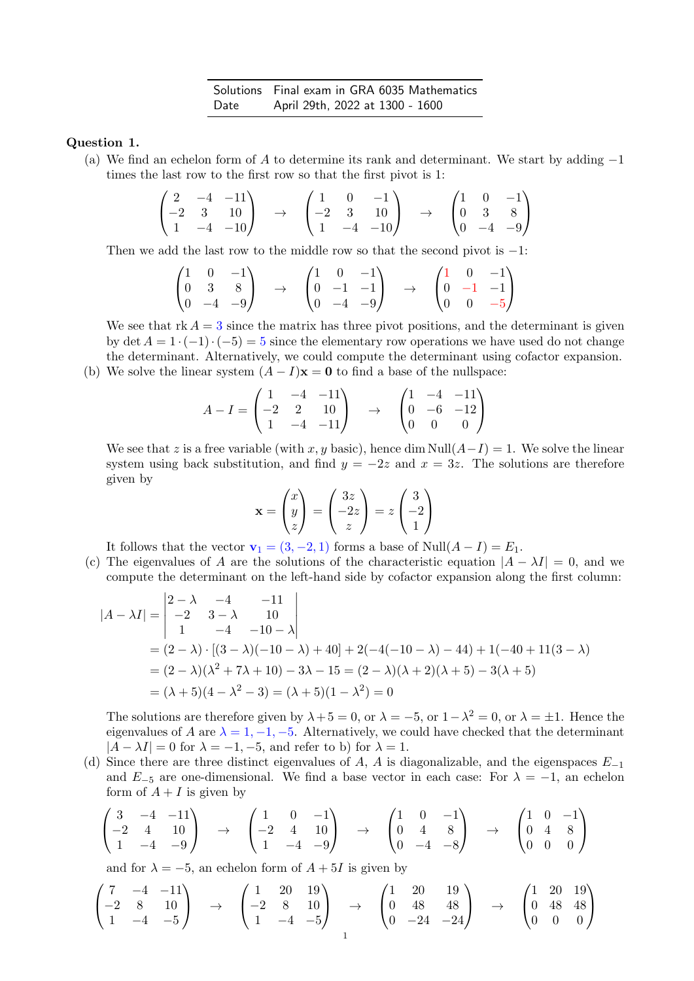Solutions Final exam in GRA 6035 Mathematics Date April 29th, 2022 at 1300 - 1600

Question 1.

(a) We find an echelon form of A to determine its rank and determinant. We start by adding  $-1$ times the last row to the first row so that the first pivot is 1:

$$
\begin{pmatrix} 2 & -4 & -11 \ -2 & 3 & 10 \ 1 & -4 & -10 \end{pmatrix} \rightarrow \begin{pmatrix} 1 & 0 & -1 \ -2 & 3 & 10 \ 1 & -4 & -10 \end{pmatrix} \rightarrow \begin{pmatrix} 1 & 0 & -1 \ 0 & 3 & 8 \ 0 & -4 & -9 \end{pmatrix}
$$

Then we add the last row to the middle row so that the second pivot is −1:

$$
\begin{pmatrix} 1 & 0 & -1 \ 0 & 3 & 8 \ 0 & -4 & -9 \end{pmatrix} \rightarrow \begin{pmatrix} 1 & 0 & -1 \ 0 & -1 & -1 \ 0 & -4 & -9 \end{pmatrix} \rightarrow \begin{pmatrix} 1 & 0 & -1 \ 0 & -1 & -1 \ 0 & 0 & -5 \end{pmatrix}
$$

We see that  $rk A = 3$  since the matrix has three pivot positions, and the determinant is given by det  $A = 1 \cdot (-1) \cdot (-5) = 5$  since the elementary row operations we have used do not change the determinant. Alternatively, we could compute the determinant using cofactor expansion.

(b) We solve the linear system  $(A - I)\mathbf{x} = \mathbf{0}$  to find a base of the nullspace:

$$
A - I = \begin{pmatrix} 1 & -4 & -11 \\ -2 & 2 & 10 \\ 1 & -4 & -11 \end{pmatrix} \rightarrow \begin{pmatrix} 1 & -4 & -11 \\ 0 & -6 & -12 \\ 0 & 0 & 0 \end{pmatrix}
$$

We see that z is a free variable (with x, y basic), hence dim Null( $A-I$ ) = 1. We solve the linear system using back substitution, and find  $y = -2z$  and  $x = 3z$ . The solutions are therefore given by

$$
\mathbf{x} = \begin{pmatrix} x \\ y \\ z \end{pmatrix} = \begin{pmatrix} 3z \\ -2z \\ z \end{pmatrix} = z \begin{pmatrix} 3 \\ -2 \\ 1 \end{pmatrix}
$$

It follows that the vector  $\mathbf{v}_1 = (3, -2, 1)$  forms a base of Null $(A - I) = E_1$ .

(c) The eigenvalues of A are the solutions of the characteristic equation  $|A - \lambda I| = 0$ , and we compute the determinant on the left-hand side by cofactor expansion along the first column:

$$
|A - \lambda I| = \begin{vmatrix} 2 - \lambda & -4 & -11 \\ -2 & 3 - \lambda & 10 \\ 1 & -4 & -10 - \lambda \end{vmatrix}
$$
  
=  $(2 - \lambda) \cdot [(3 - \lambda)(-10 - \lambda) + 40] + 2(-4(-10 - \lambda) - 44) + 1(-40 + 11(3 - \lambda))$   
=  $(2 - \lambda)(\lambda^2 + 7\lambda + 10) - 3\lambda - 15 = (2 - \lambda)(\lambda + 2)(\lambda + 5) - 3(\lambda + 5)$   
=  $(\lambda + 5)(4 - \lambda^2 - 3) = (\lambda + 5)(1 - \lambda^2) = 0$ 

The solutions are therefore given by  $\lambda + 5 = 0$ , or  $\lambda = -5$ , or  $1 - \lambda^2 = 0$ , or  $\lambda = \pm 1$ . Hence the eigenvalues of A are  $\lambda = 1, -1, -5$ . Alternatively, we could have checked that the determinant  $|A - \lambda I| = 0$  for  $\lambda = -1, -5$ , and refer to b) for  $\lambda = 1$ .

(d) Since there are three distinct eigenvalues of A, A is diagonalizable, and the eigenspaces  $E_{-1}$ and  $E_{-5}$  are one-dimensional. We find a base vector in each case: For  $\lambda = -1$ , an echelon form of  $A + I$  is given by

$$
\begin{pmatrix} 3 & -4 & -11 \ -2 & 4 & 10 \ 1 & -4 & -9 \end{pmatrix} \rightarrow \begin{pmatrix} 1 & 0 & -1 \ -2 & 4 & 10 \ 1 & -4 & -9 \end{pmatrix} \rightarrow \begin{pmatrix} 1 & 0 & -1 \ 0 & 4 & 8 \ 0 & -4 & -8 \end{pmatrix} \rightarrow \begin{pmatrix} 1 & 0 & -1 \ 0 & 4 & 8 \ 0 & 0 & 0 \end{pmatrix}
$$

and for  $\lambda = -5$ , an echelon form of  $A + 5I$  is given by

$$
\begin{pmatrix} 7 & -4 & -11 \ -2 & 8 & 10 \ 1 & -4 & -5 \end{pmatrix} \rightarrow \begin{pmatrix} 1 & 20 & 19 \ -2 & 8 & 10 \ 1 & -4 & -5 \end{pmatrix} \rightarrow \begin{pmatrix} 1 & 20 & 19 \ 0 & 48 & 48 \ 0 & -24 & -24 \end{pmatrix} \rightarrow \begin{pmatrix} 1 & 20 & 19 \ 0 & 48 & 48 \ 0 & 0 & 0 \end{pmatrix}
$$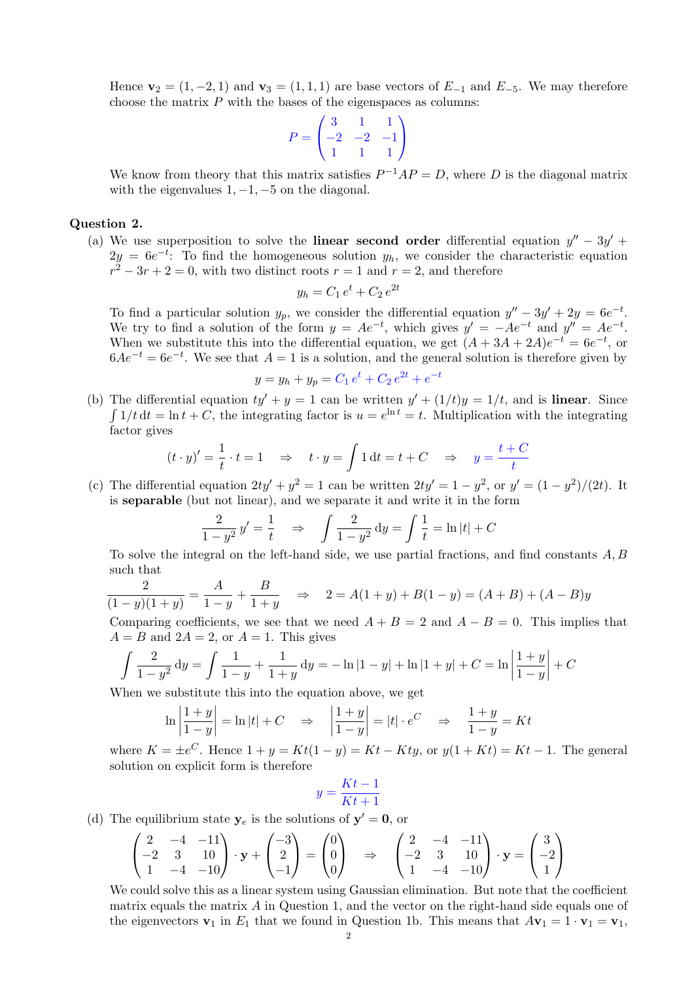Hence  $\mathbf{v}_2 = (1, -2, 1)$  and  $\mathbf{v}_3 = (1, 1, 1)$  are base vectors of  $E_{-1}$  and  $E_{-5}$ . We may therefore choose the matrix  $P$  with the bases of the eigenspaces as columns:

$$
P = \begin{pmatrix} 3 & 1 & 1 \\ -2 & -2 & -1 \\ 1 & 1 & 1 \end{pmatrix}
$$

We know from theory that this matrix satisfies  $P^{-1}AP = D$ , where D is the diagonal matrix with the eigenvalues  $1, -1, -5$  on the diagonal.

## Question 2.

(a) We use superposition to solve the linear second order differential equation  $y'' - 3y' +$  $2y = 6e^{-t}$ : To find the homogeneous solution  $y_h$ , we consider the characteristic equation  $r^2 - 3r + 2 = 0$ , with two distinct roots  $r = 1$  and  $r = 2$ , and therefore

$$
y_h = C_1 e^t + C_2 e^{2t}
$$

To find a particular solution  $y_p$ , we consider the differential equation  $y'' - 3y' + 2y = 6e^{-t}$ . We try to find a solution of the form  $y = Ae^{-t}$ , which gives  $y' = -Ae^{-t}$  and  $y'' = Ae^{-t}$ . When we substitute this into the differential equation, we get  $(A+3A+2A)e^{-t} = 6e^{-t}$ , or  $6Ae^{-t} = 6e^{-t}$ . We see that  $A = 1$  is a solution, and the general solution is therefore given by

$$
y = y_h + y_p = C_1 e^t + C_2 e^{2t} + e^{-t}
$$

(b) The differential equation  $ty' + y = 1$  can be written  $y' + (1/t)y = 1/t$ , and is **linear**. Since  $\int 1/t dt = \ln t + C$ , the integrating factor is  $u = e^{\ln t} = t$ . Multiplication with the integrating factor gives

$$
(t \cdot y)' = \frac{1}{t} \cdot t = 1 \quad \Rightarrow \quad t \cdot y = \int 1 dt = t + C \quad \Rightarrow \quad y = \frac{t + C}{t}
$$

(c) The differential equation  $2ty' + y^2 = 1$  can be written  $2ty' = 1 - y^2$ , or  $y' = (1 - y^2)/(2t)$ . It is separable (but not linear), and we separate it and write it in the form

$$
\frac{2}{1-y^2}y' = \frac{1}{t} \implies \int \frac{2}{1-y^2} dy = \int \frac{1}{t} = \ln|t| + C
$$

To solve the integral on the left-hand side, we use partial fractions, and find constants  $A, B$ such that

$$
\frac{2}{(1-y)(1+y)} = \frac{A}{1-y} + \frac{B}{1+y} \quad \Rightarrow \quad 2 = A(1+y) + B(1-y) = (A+B) + (A-B)y
$$

Comparing coefficients, we see that we need  $A + B = 2$  and  $A - B = 0$ . This implies that  $A = B$  and  $2A = 2$ , or  $A = 1$ . This gives

$$
\int \frac{2}{1-y^2} dy = \int \frac{1}{1-y} + \frac{1}{1+y} dy = -\ln|1-y| + \ln|1+y| + C = \ln\left|\frac{1+y}{1-y}\right| + C
$$

When we substitute this into the equation above, we get

$$
\ln\left|\frac{1+y}{1-y}\right| = \ln|t| + C \quad \Rightarrow \quad \left|\frac{1+y}{1-y}\right| = |t| \cdot e^C \quad \Rightarrow \quad \frac{1+y}{1-y} = Kt
$$

where  $K = \pm e^C$ . Hence  $1 + y = Kt(1 - y) = Kt - Kty$ , or  $y(1 + Kt) = Kt - 1$ . The general solution on explicit form is therefore

$$
y = \frac{Kt - 1}{Kt + 1}
$$

(d) The equilibrium state  $y_e$  is the solutions of  $y' = 0$ , or

$$
\begin{pmatrix} 2 & -4 & -11 \ -2 & 3 & 10 \ 1 & -4 & -10 \end{pmatrix} \cdot \mathbf{y} + \begin{pmatrix} -3 \ 2 \ -1 \end{pmatrix} = \begin{pmatrix} 0 \ 0 \ 0 \end{pmatrix} \Rightarrow \begin{pmatrix} 2 & -4 & -11 \ -2 & 3 & 10 \ 1 & -4 & -10 \end{pmatrix} \cdot \mathbf{y} = \begin{pmatrix} 3 \ -2 \ 1 \end{pmatrix}
$$

We could solve this as a linear system using Gaussian elimination. But note that the coefficient matrix equals the matrix  $A$  in Question 1, and the vector on the right-hand side equals one of the eigenvectors  $\mathbf{v}_1$  in  $E_1$  that we found in Question 1b. This means that  $A\mathbf{v}_1 = 1 \cdot \mathbf{v}_1 = \mathbf{v}_1$ ,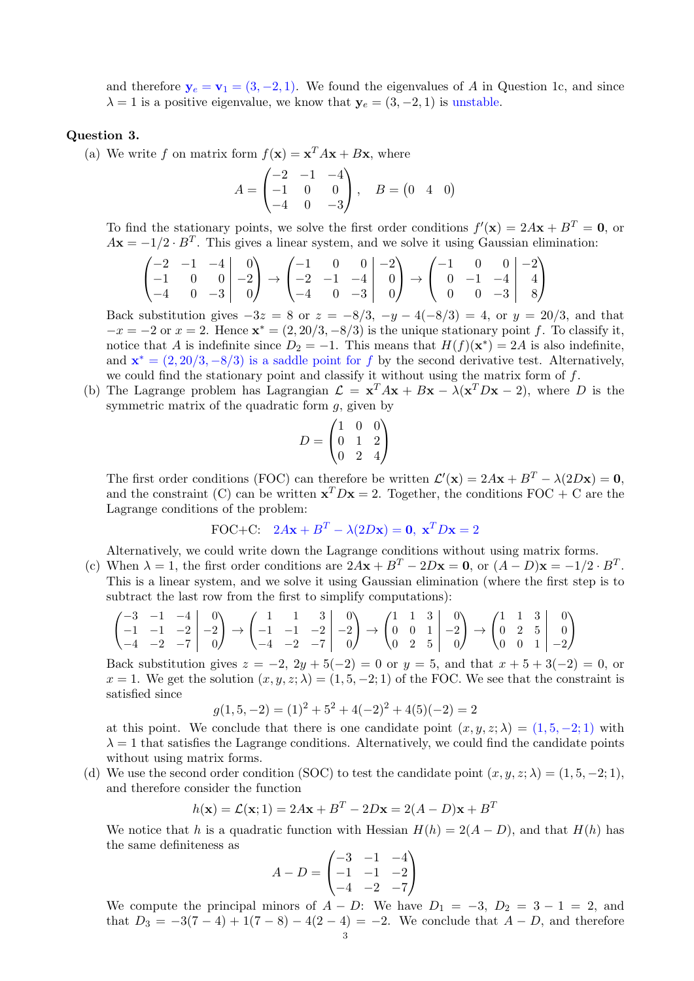and therefore  $y_e = v_1 = (3, -2, 1)$ . We found the eigenvalues of A in Question 1c, and since  $\lambda = 1$  is a positive eigenvalue, we know that  $y_e = (3, -2, 1)$  is unstable.

## Question 3.

(a) We write f on matrix form  $f(\mathbf{x}) = \mathbf{x}^T A \mathbf{x} + B \mathbf{x}$ , where

$$
A = \begin{pmatrix} -2 & -1 & -4 \\ -1 & 0 & 0 \\ -4 & 0 & -3 \end{pmatrix}, \quad B = \begin{pmatrix} 0 & 4 & 0 \end{pmatrix}
$$

To find the stationary points, we solve the first order conditions  $f'(\mathbf{x}) = 2A\mathbf{x} + B^T = \mathbf{0}$ , or  $A\mathbf{x} = -1/2 \cdot B^{T}$ . This gives a linear system, and we solve it using Gaussian elimination:

$$
\begin{pmatrix} -2 & -1 & -4 & 0 \ -1 & 0 & 0 & -2 \ -4 & 0 & -3 & 0 \end{pmatrix} \rightarrow \begin{pmatrix} -1 & 0 & 0 & -2 \ -2 & -1 & -4 & 0 \ -4 & 0 & -3 & 0 \end{pmatrix} \rightarrow \begin{pmatrix} -1 & 0 & 0 & -2 \ 0 & -1 & -4 & 4 \ 0 & 0 & -3 & 8 \end{pmatrix}
$$

Back substitution gives  $-3z = 8$  or  $z = -8/3$ ,  $-y - 4(-8/3) = 4$ , or  $y = 20/3$ , and that  $-x = -2$  or  $x = 2$ . Hence  $\mathbf{x}^* = (2, 20/3, -8/3)$  is the unique stationary point f. To classify it, notice that A is indefinite since  $D_2 = -1$ . This means that  $H(f)(\mathbf{x}^*) = 2A$  is also indefinite, and  $\mathbf{x}^* = (2, 20/3, -8/3)$  is a saddle point for f by the second derivative test. Alternatively, we could find the stationary point and classify it without using the matrix form of  $f$ .

(b) The Lagrange problem has Lagrangian  $\mathcal{L} = \mathbf{x}^T A \mathbf{x} + B \mathbf{x} - \lambda (\mathbf{x}^T D \mathbf{x} - 2)$ , where D is the symmetric matrix of the quadratic form  $g$ , given by

$$
D = \begin{pmatrix} 1 & 0 & 0 \\ 0 & 1 & 2 \\ 0 & 2 & 4 \end{pmatrix}
$$

The first order conditions (FOC) can therefore be written  $\mathcal{L}'(\mathbf{x}) = 2A\mathbf{x} + B^T - \lambda(2D\mathbf{x}) = \mathbf{0}$ , and the constraint (C) can be written  $\mathbf{x}^T D \mathbf{x} = 2$ . Together, the conditions FOC + C are the Lagrange conditions of the problem:

FOC+C: 
$$
2A\mathbf{x} + B^T - \lambda(2D\mathbf{x}) = \mathbf{0}, \mathbf{x}^T D\mathbf{x} = 2
$$

Alternatively, we could write down the Lagrange conditions without using matrix forms.

(c) When  $\lambda = 1$ , the first order conditions are  $2A\mathbf{x} + B^T - 2D\mathbf{x} = \mathbf{0}$ , or  $(A - D)\mathbf{x} = -1/2 \cdot B^T$ . This is a linear system, and we solve it using Gaussian elimination (where the first step is to subtract the last row from the first to simplify computations):

$$
\begin{pmatrix} -3 & -1 & -4 & 0 \ -1 & -1 & -2 & -2 \ -4 & -2 & -7 & 0 \end{pmatrix} \rightarrow \begin{pmatrix} 1 & 1 & 3 & 0 \ -1 & -1 & -2 & -2 \ -4 & -2 & -7 & 0 \end{pmatrix} \rightarrow \begin{pmatrix} 1 & 1 & 3 & 0 \ 0 & 0 & 1 & -2 \ 0 & 2 & 5 & 0 \end{pmatrix} \rightarrow \begin{pmatrix} 1 & 1 & 3 & 0 \ 0 & 2 & 5 & 0 \ 0 & 0 & 1 & -2 \end{pmatrix}
$$

Back substitution gives  $z = -2$ ,  $2y + 5(-2) = 0$  or  $y = 5$ , and that  $x + 5 + 3(-2) = 0$ , or  $x = 1$ . We get the solution  $(x, y, z; \lambda) = (1, 5, -2; 1)$  of the FOC. We see that the constraint is satisfied since

$$
g(1,5,-2) = (1)^2 + 5^2 + 4(-2)^2 + 4(5)(-2) = 2
$$

at this point. We conclude that there is one candidate point  $(x, y, z; \lambda) = (1, 5, -2; 1)$  with  $\lambda = 1$  that satisfies the Lagrange conditions. Alternatively, we could find the candidate points without using matrix forms.

(d) We use the second order condition (SOC) to test the candidate point  $(x, y, z; \lambda) = (1, 5, -2; 1)$ , and therefore consider the function

$$
h(\mathbf{x}) = \mathcal{L}(\mathbf{x}; 1) = 2A\mathbf{x} + B^T - 2D\mathbf{x} = 2(A - D)\mathbf{x} + B^T
$$

We notice that h is a quadratic function with Hessian  $H(h) = 2(A - D)$ , and that  $H(h)$  has the same definiteness as

$$
A - D = \begin{pmatrix} -3 & -1 & -4 \\ -1 & -1 & -2 \\ -4 & -2 & -7 \end{pmatrix}
$$

We compute the principal minors of  $A - D$ : We have  $D_1 = -3$ ,  $D_2 = 3 - 1 = 2$ , and that  $D_3 = -3(7-4) + 1(7-8) - 4(2-4) = -2$ . We conclude that  $A - D$ , and therefore